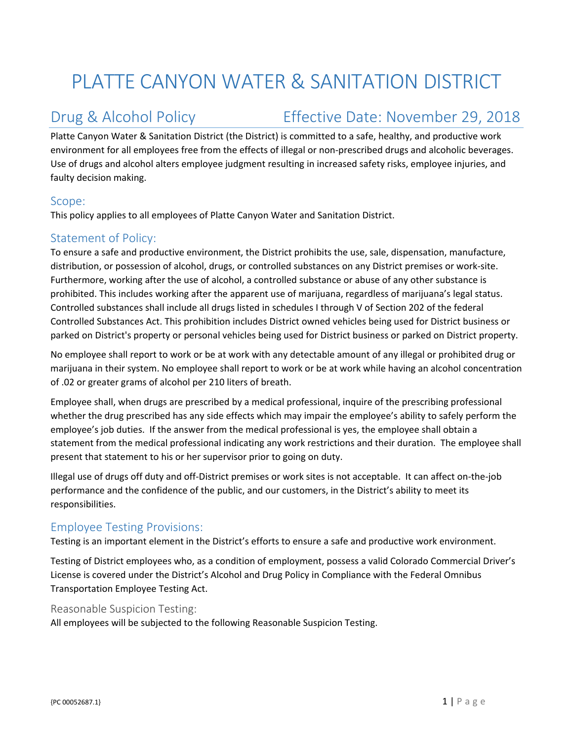# PLATTE CANYON WATER & SANITATION DISTRICT

## Drug & Alcohol Policy **Effective Date: November 29, 2018**

Platte Canyon Water & Sanitation District (the District) is committed to a safe, healthy, and productive work environment for all employees free from the effects of illegal or non‐prescribed drugs and alcoholic beverages. Use of drugs and alcohol alters employee judgment resulting in increased safety risks, employee injuries, and faulty decision making.

#### Scope:

This policy applies to all employees of Platte Canyon Water and Sanitation District.

### Statement of Policy:

To ensure a safe and productive environment, the District prohibits the use, sale, dispensation, manufacture, distribution, or possession of alcohol, drugs, or controlled substances on any District premises or work‐site. Furthermore, working after the use of alcohol, a controlled substance or abuse of any other substance is prohibited. This includes working after the apparent use of marijuana, regardless of marijuana's legal status. Controlled substances shall include all drugs listed in schedules I through V of Section 202 of the federal Controlled Substances Act. This prohibition includes District owned vehicles being used for District business or parked on District's property or personal vehicles being used for District business or parked on District property.

No employee shall report to work or be at work with any detectable amount of any illegal or prohibited drug or marijuana in their system. No employee shall report to work or be at work while having an alcohol concentration of .02 or greater grams of alcohol per 210 liters of breath.

Employee shall, when drugs are prescribed by a medical professional, inquire of the prescribing professional whether the drug prescribed has any side effects which may impair the employee's ability to safely perform the employee's job duties. If the answer from the medical professional is yes, the employee shall obtain a statement from the medical professional indicating any work restrictions and their duration. The employee shall present that statement to his or her supervisor prior to going on duty.

Illegal use of drugs off duty and off‐District premises or work sites is not acceptable. It can affect on‐the‐job performance and the confidence of the public, and our customers, in the District's ability to meet its responsibilities.

#### Employee Testing Provisions:

Testing is an important element in the District's efforts to ensure a safe and productive work environment.

Testing of District employees who, as a condition of employment, possess a valid Colorado Commercial Driver's License is covered under the District's Alcohol and Drug Policy in Compliance with the Federal Omnibus Transportation Employee Testing Act.

#### Reasonable Suspicion Testing:

All employees will be subjected to the following Reasonable Suspicion Testing.